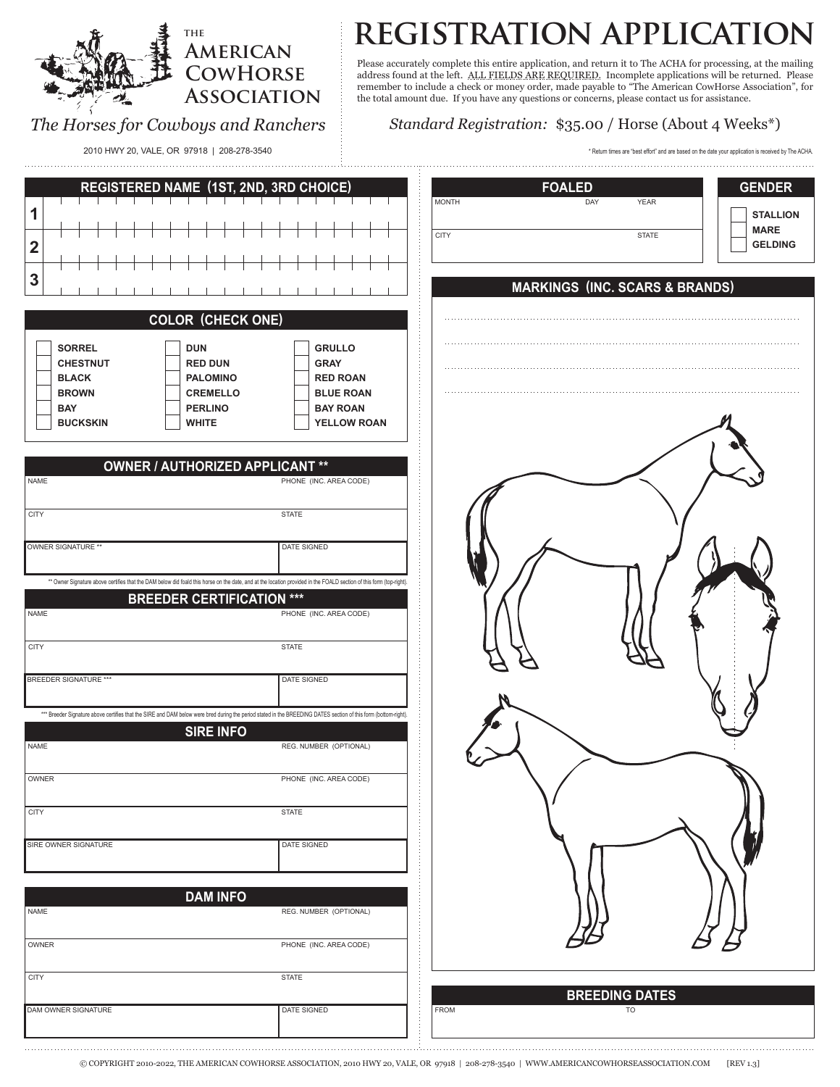#### *The Horses for Cowboys and Ranchers* **Association** the total amount due. If you have any questions or concerns, please contact us for assistance. *Standard Registration:* \$35.00 / Horse (About 4 Weeks\*) **1 2 3 STALLION MARE GELDING SORREL CHESTNUT BLACK BROWN BAY BUCKSKIN DUN RED DUN PALOMINO CREMELLO PERLINO WHITE GRULLO GRAY RED ROAN BLUE ROAN BAY ROAN YELLOW ROAN** CITY STATE STATE STATE STATE STATE STATE STATE STATE STATE STATE STATE STATE STATE STATE STATE STATE STATE STATE STATE STATE STATE STATE STATE STATE STATE STATE STATE STATE STATE STATE STATE STATE STATE STATE STATE STATE S MONTH DAY DAY YEAR **REGISTERED NAME (1ST, 2ND, 3RD CHOICE) FOALED GENDER** CITY STATE STATE STATE STATE STATE STATE STATE STATE STATE STATE STATE STATE STATE STATE STATE STATE STATE STATE **INC. AREA CODE)** PHONE (INC. AREA CODE) PHONE (INC. AREA CODE) PHONE (INC. AREA CODE) NAME OWNER SIGNATURE \*\* DATE SIGNED **OWNER / AUTHORIZED APPLICANT \*\* COLOR (CHECK ONE) BREEDING DATES**  CITY STATE STATE STATE STATE STATE STATE STATE STATE STATE STATE STATE STATE STATE STATE STATE STATE STATE STATE NAME **SIRE OWNER SIGNATURE DATE SIGNED** OWNER REG. NUMBER (OPTIONAL) **SIRE INFO** CITY STATE STATE STATE STATE STATE STATE STATE STATE STATE STATE STATE STATE STATE STATE STATE STATE STATE STATE NAME DAM OWNER SIGNATURE **DATE SIGNED** OWNER REG. NUMBER (OPTIONAL) **DAM INFO** CITY STATE STATE STATE STATE STATE STATE STATE STATE STATE STATE STATE STATE STATE STATE STATE STATE STATE STATE NAME BREEDER SIGNATURE \*\*\* DATE SIGNED **BREEDER CERTIFICATION \*\*\* MARKINGS (INC. SCARS & BRANDS)** \* Return times are "best effort" and are based on the date your application is received by The ACHA. \*\*\* Breeder Signature above certifies that the SIRE and DAM below were bred during the period stated in the BREEDING DATES section of this form (botton \*\* Owner Signature above certifies that the DAM below did foald this horse on the date, and at the location provided in the FOALD section of this form (top-right). 2010 HWY 20, VALE, OR 97918 | 208-278-3540 DAM  $C = \frac{1}{2}$  $NNER$  SIGNATURE is not registered with a pedigree is not registered with a structure to the best of the best of the best of the best of the best of the best of the best of the best of the best of the best of the best of t **PEDIGREE INFORMATION**

**American CowHorse**

**the**

# **registration application**

Please accurately complete this entire application, and return it to The ACHA for processing, at the mailing address found at the left. ALL FIELDS ARE REQUIRED. Incomplete applications will be returned. Please remember to include a check or money order, made payable to "The American CowHorse Association", for for processing, at the mailing remember to include a check or money order, made payable to "The American CowHorse Association", for

© COPYRIGHT 2010-2022, THE AMERICAN COWHORSE ASSOCIATION, 2010 HWY 20, VALE, OR 97918 | 208-278-3540 | WWW.AMERICANCOWHORSEASSOCIATION.COM [REV 1.3]

your knowledge and include any additional information (color, size, nickname, performance or fame).

FROM TO